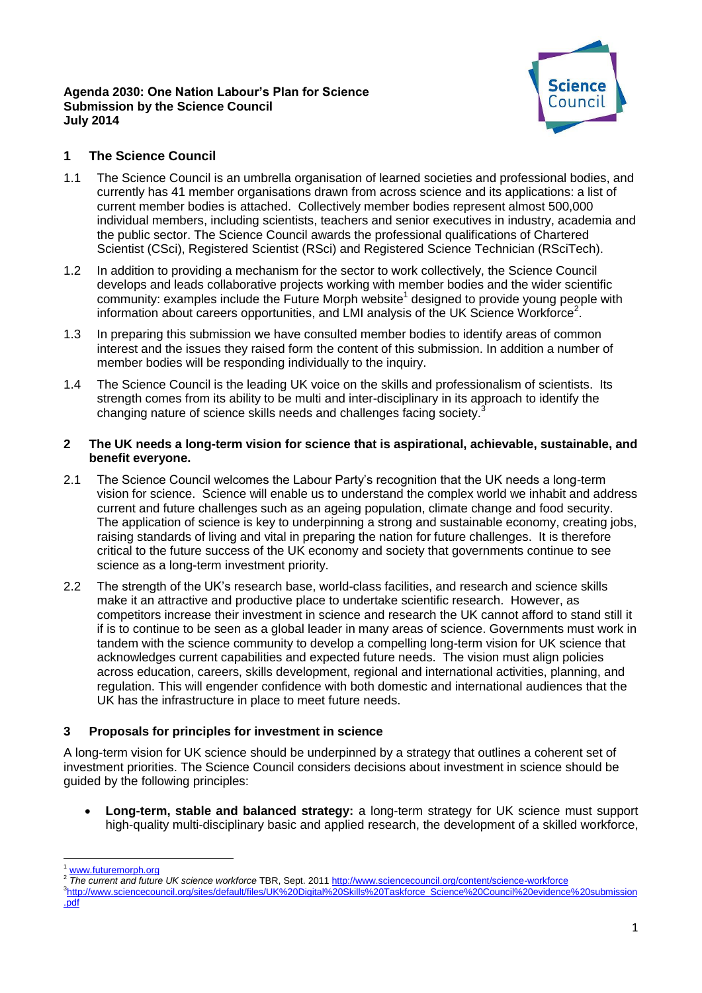#### **Agenda 2030: One Nation Labour's Plan for Science Submission by the Science Council July 2014**



# **1 The Science Council**

- 1.1 The Science Council is an umbrella organisation of learned societies and professional bodies, and currently has 41 member organisations drawn from across science and its applications: a list of current member bodies is attached. Collectively member bodies represent almost 500,000 individual members, including scientists, teachers and senior executives in industry, academia and the public sector. The Science Council awards the professional qualifications of Chartered Scientist (CSci), Registered Scientist (RSci) and Registered Science Technician (RSciTech).
- 1.2 In addition to providing a mechanism for the sector to work collectively, the Science Council develops and leads collaborative projects working with member bodies and the wider scientific  $community$ : examples include the Future Morph website<sup>1</sup> designed to provide young people with information about careers opportunities, and LMI analysis of the UK Science Workforce<sup>2</sup>.
- 1.3 In preparing this submission we have consulted member bodies to identify areas of common interest and the issues they raised form the content of this submission. In addition a number of member bodies will be responding individually to the inquiry.
- 1.4 The Science Council is the leading UK voice on the skills and professionalism of scientists. Its strength comes from its ability to be multi and inter-disciplinary in its approach to identify the changing nature of science skills needs and challenges facing society.

#### **2 The UK needs a long-term vision for science that is aspirational, achievable, sustainable, and benefit everyone.**

- 2.1 The Science Council welcomes the Labour Party's recognition that the UK needs a long-term vision for science. Science will enable us to understand the complex world we inhabit and address current and future challenges such as an ageing population, climate change and food security. The application of science is key to underpinning a strong and sustainable economy, creating jobs, raising standards of living and vital in preparing the nation for future challenges. It is therefore critical to the future success of the UK economy and society that governments continue to see science as a long-term investment priority.
- 2.2 The strength of the UK's research base, world-class facilities, and research and science skills make it an attractive and productive place to undertake scientific research. However, as competitors increase their investment in science and research the UK cannot afford to stand still it if is to continue to be seen as a global leader in many areas of science. Governments must work in tandem with the science community to develop a compelling long-term vision for UK science that acknowledges current capabilities and expected future needs. The vision must align policies across education, careers, skills development, regional and international activities, planning, and regulation. This will engender confidence with both domestic and international audiences that the UK has the infrastructure in place to meet future needs.

# **3 Proposals for principles for investment in science**

A long-term vision for UK science should be underpinned by a strategy that outlines a coherent set of investment priorities. The Science Council considers decisions about investment in science should be guided by the following principles:

 **Long-term, stable and balanced strategy:** a long-term strategy for UK science must support high-quality multi-disciplinary basic and applied research, the development of a skilled workforce,

**<sup>.</sup>** [www.futuremorph.org](http://www.futuremorph.org/)

<sup>2</sup> *The current and future UK science workforce* TBR, Sept. 201[1 http://www.sciencecouncil.org/content/science-workforce](http://www.sciencecouncil.org/content/science-workforce)

<sup>3</sup> [http://www.sciencecouncil.org/sites/default/files/UK%20Digital%20Skills%20Taskforce\\_Science%20Council%20evidence%20submission](http://www.sciencecouncil.org/sites/default/files/UK%20Digital%20Skills%20Taskforce_Science%20Council%20evidence%20submission.pdf) [.pdf](http://www.sciencecouncil.org/sites/default/files/UK%20Digital%20Skills%20Taskforce_Science%20Council%20evidence%20submission.pdf)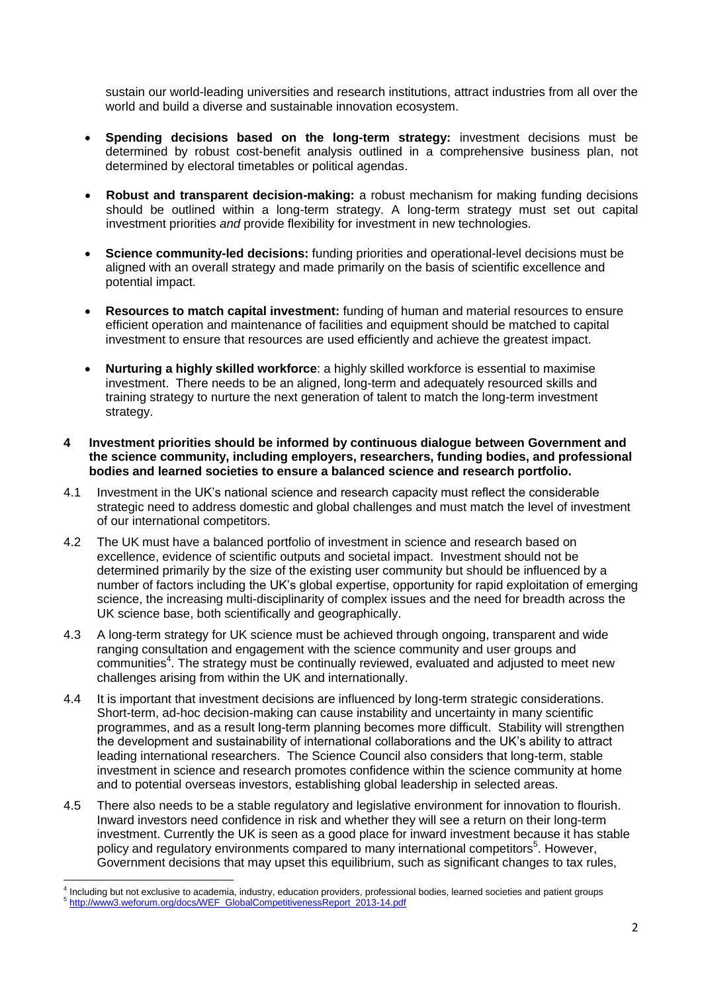sustain our world-leading universities and research institutions, attract industries from all over the world and build a diverse and sustainable innovation ecosystem.

- **Spending decisions based on the long-term strategy:** investment decisions must be determined by robust cost-benefit analysis outlined in a comprehensive business plan, not determined by electoral timetables or political agendas.
- **Robust and transparent decision-making:** a robust mechanism for making funding decisions should be outlined within a long-term strategy. A long-term strategy must set out capital investment priorities *and* provide flexibility for investment in new technologies.
- **Science community-led decisions:** funding priorities and operational-level decisions must be aligned with an overall strategy and made primarily on the basis of scientific excellence and potential impact.
- **Resources to match capital investment:** funding of human and material resources to ensure efficient operation and maintenance of facilities and equipment should be matched to capital investment to ensure that resources are used efficiently and achieve the greatest impact.
- **Nurturing a highly skilled workforce**: a highly skilled workforce is essential to maximise investment. There needs to be an aligned, long-term and adequately resourced skills and training strategy to nurture the next generation of talent to match the long-term investment strategy.

#### **4 Investment priorities should be informed by continuous dialogue between Government and the science community, including employers, researchers, funding bodies, and professional bodies and learned societies to ensure a balanced science and research portfolio.**

- 4.1 Investment in the UK's national science and research capacity must reflect the considerable strategic need to address domestic and global challenges and must match the level of investment of our international competitors.
- 4.2 The UK must have a balanced portfolio of investment in science and research based on excellence, evidence of scientific outputs and societal impact. Investment should not be determined primarily by the size of the existing user community but should be influenced by a number of factors including the UK's global expertise, opportunity for rapid exploitation of emerging science, the increasing multi-disciplinarity of complex issues and the need for breadth across the UK science base, both scientifically and geographically.
- 4.3 A long-term strategy for UK science must be achieved through ongoing, transparent and wide ranging consultation and engagement with the science community and user groups and communities<sup>4</sup>. The strategy must be continually reviewed, evaluated and adjusted to meet new challenges arising from within the UK and internationally.
- 4.4 It is important that investment decisions are influenced by long-term strategic considerations. Short-term, ad-hoc decision-making can cause instability and uncertainty in many scientific programmes, and as a result long-term planning becomes more difficult. Stability will strengthen the development and sustainability of international collaborations and the UK's ability to attract leading international researchers. The Science Council also considers that long-term, stable investment in science and research promotes confidence within the science community at home and to potential overseas investors, establishing global leadership in selected areas.
- 4.5 There also needs to be a stable regulatory and legislative environment for innovation to flourish. Inward investors need confidence in risk and whether they will see a return on their long-term investment. Currently the UK is seen as a good place for inward investment because it has stable policy and regulatory environments compared to many international competitors<sup>5</sup>. However, Government decisions that may upset this equilibrium, such as significant changes to tax rules,

 4 Including but not exclusive to academia, industry, education providers, professional bodies, learned societies and patient groups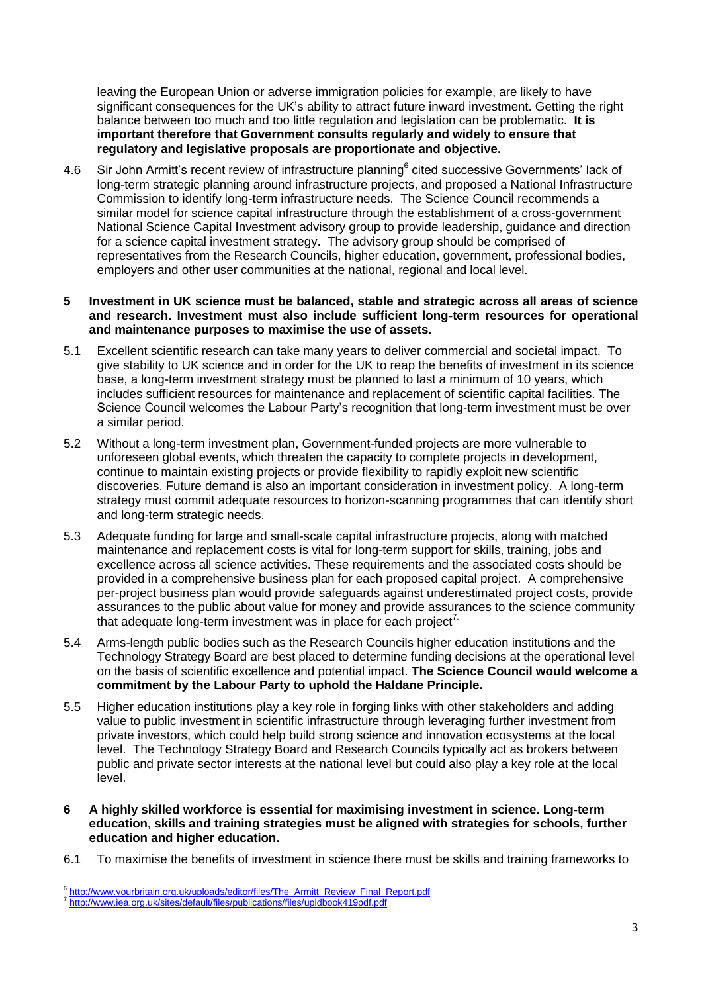leaving the European Union or adverse immigration policies for example, are likely to have significant consequences for the UK's ability to attract future inward investment. Getting the right balance between too much and too little regulation and legislation can be problematic. **It is important therefore that Government consults regularly and widely to ensure that regulatory and legislative proposals are proportionate and objective.**

4.6 Sir John Armitt's recent review of infrastructure planning<sup>6</sup> cited successive Governments' lack of long-term strategic planning around infrastructure projects, and proposed a National Infrastructure Commission to identify long-term infrastructure needs. The Science Council recommends a similar model for science capital infrastructure through the establishment of a cross-government National Science Capital Investment advisory group to provide leadership, guidance and direction for a science capital investment strategy. The advisory group should be comprised of representatives from the Research Councils, higher education, government, professional bodies, employers and other user communities at the national, regional and local level.

#### **5 Investment in UK science must be balanced, stable and strategic across all areas of science and research. Investment must also include sufficient long-term resources for operational and maintenance purposes to maximise the use of assets.**

- 5.1 Excellent scientific research can take many years to deliver commercial and societal impact. To give stability to UK science and in order for the UK to reap the benefits of investment in its science base, a long-term investment strategy must be planned to last a minimum of 10 years, which includes sufficient resources for maintenance and replacement of scientific capital facilities. The Science Council welcomes the Labour Party's recognition that long-term investment must be over a similar period.
- 5.2 Without a long-term investment plan, Government-funded projects are more vulnerable to unforeseen global events, which threaten the capacity to complete projects in development, continue to maintain existing projects or provide flexibility to rapidly exploit new scientific discoveries. Future demand is also an important consideration in investment policy. A long-term strategy must commit adequate resources to horizon-scanning programmes that can identify short and long-term strategic needs.
- 5.3 Adequate funding for large and small-scale capital infrastructure projects, along with matched maintenance and replacement costs is vital for long-term support for skills, training, jobs and excellence across all science activities. These requirements and the associated costs should be provided in a comprehensive business plan for each proposed capital project. A comprehensive per-project business plan would provide safeguards against underestimated project costs, provide assurances to the public about value for money and provide assurances to the science community that adequate long-term investment was in place for each project<sup>7.</sup>
- 5.4 Arms-length public bodies such as the Research Councils higher education institutions and the Technology Strategy Board are best placed to determine funding decisions at the operational level on the basis of scientific excellence and potential impact. **The Science Council would welcome a commitment by the Labour Party to uphold the Haldane Principle.**
- 5.5 Higher education institutions play a key role in forging links with other stakeholders and adding value to public investment in scientific infrastructure through leveraging further investment from private investors, which could help build strong science and innovation ecosystems at the local level. The Technology Strategy Board and Research Councils typically act as brokers between public and private sector interests at the national level but could also play a key role at the local level.
- **6 A highly skilled workforce is essential for maximising investment in science. Long-term education, skills and training strategies must be aligned with strategies for schools, further education and higher education.**
- 6.1 To maximise the benefits of investment in science there must be skills and training frameworks to

 6 [http://www.yourbritain.org.uk/uploads/editor/files/The\\_Armitt\\_Review\\_Final\\_Report.pdf](http://www.yourbritain.org.uk/uploads/editor/files/The_Armitt_Review_Final_Report.pdf)

<sup>&</sup>lt;sup>7</sup> <http://www.iea.org.uk/sites/default/files/publications/files/upldbook419pdf.pdf>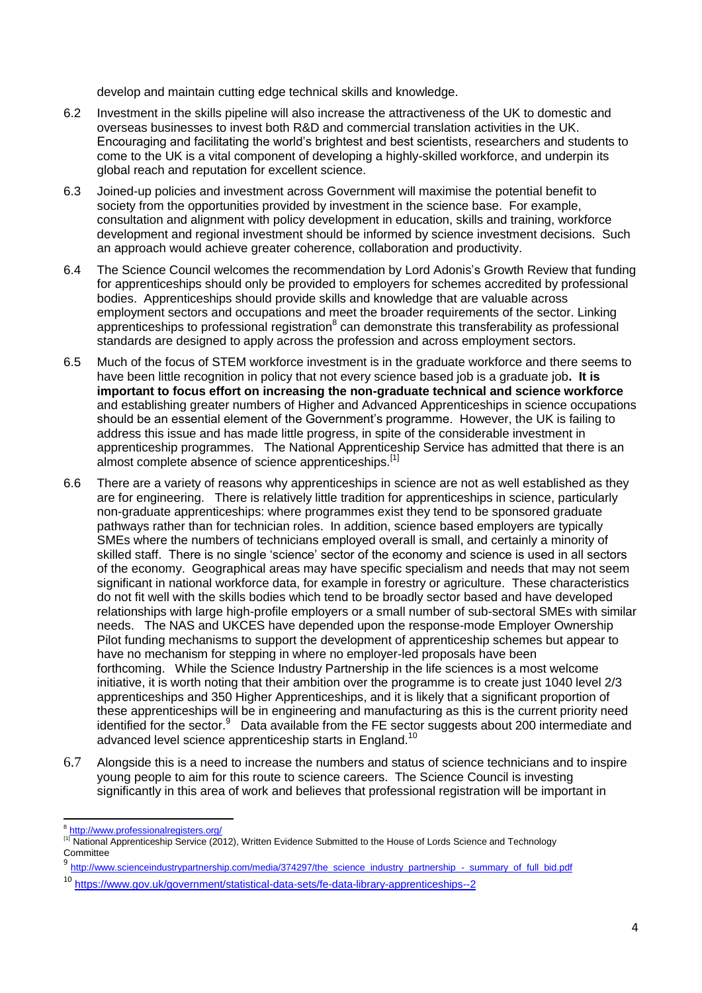develop and maintain cutting edge technical skills and knowledge.

- 6.2 Investment in the skills pipeline will also increase the attractiveness of the UK to domestic and overseas businesses to invest both R&D and commercial translation activities in the UK. Encouraging and facilitating the world's brightest and best scientists, researchers and students to come to the UK is a vital component of developing a highly-skilled workforce, and underpin its global reach and reputation for excellent science.
- 6.3 Joined-up policies and investment across Government will maximise the potential benefit to society from the opportunities provided by investment in the science base. For example, consultation and alignment with policy development in education, skills and training, workforce development and regional investment should be informed by science investment decisions. Such an approach would achieve greater coherence, collaboration and productivity.
- 6.4 The Science Council welcomes the recommendation by Lord Adonis's Growth Review that funding for apprenticeships should only be provided to employers for schemes accredited by professional bodies. Apprenticeships should provide skills and knowledge that are valuable across employment sectors and occupations and meet the broader requirements of the sector. Linking apprenticeships to professional registration $^8$  can demonstrate this transferability as professional standards are designed to apply across the profession and across employment sectors.
- 6.5 Much of the focus of STEM workforce investment is in the graduate workforce and there seems to have been little recognition in policy that not every science based job is a graduate job**. It is important to focus effort on increasing the non-graduate technical and science workforce** and establishing greater numbers of Higher and Advanced Apprenticeships in science occupations should be an essential element of the Government's programme. However, the UK is failing to address this issue and has made little progress, in spite of the considerable investment in apprenticeship programmes. The National Apprenticeship Service has admitted that there is an almost complete absence of science apprenticeships.[1]
- 6.6 There are a variety of reasons why apprenticeships in science are not as well established as they are for engineering. There is relatively little tradition for apprenticeships in science, particularly non-graduate apprenticeships: where programmes exist they tend to be sponsored graduate pathways rather than for technician roles. In addition, science based employers are typically SMEs where the numbers of technicians employed overall is small, and certainly a minority of skilled staff. There is no single 'science' sector of the economy and science is used in all sectors of the economy. Geographical areas may have specific specialism and needs that may not seem significant in national workforce data, for example in forestry or agriculture. These characteristics do not fit well with the skills bodies which tend to be broadly sector based and have developed relationships with large high-profile employers or a small number of sub-sectoral SMEs with similar needs. The NAS and UKCES have depended upon the response-mode Employer Ownership Pilot funding mechanisms to support the development of apprenticeship schemes but appear to have no mechanism for stepping in where no employer-led proposals have been forthcoming. While the Science Industry Partnership in the life sciences is a most welcome initiative, it is worth noting that their ambition over the programme is to create just 1040 level 2/3 apprenticeships and 350 Higher Apprenticeships, and it is likely that a significant proportion of these apprenticeships will be in engineering and manufacturing as this is the current priority need identified for the sector.<sup>9</sup> Data available from the FE sector suggests about 200 intermediate and advanced level science apprenticeship starts in England.<sup>10</sup>
- 6.7 Alongside this is a need to increase the numbers and status of science technicians and to inspire young people to aim for this route to science careers. The Science Council is investing significantly in this area of work and believes that professional registration will be important in

 8 <http://www.professionalregisters.org/>

<sup>&</sup>lt;sup>[1]</sup> National Apprenticeship Service (2012), Written Evidence Submitted to the House of Lords Science and Technology **Committee** 

<sup>9</sup> [http://www.scienceindustrypartnership.com/media/374297/the\\_science\\_industry\\_partnership\\_-\\_summary\\_of\\_full\\_bid.pdf](http://www.scienceindustrypartnership.com/media/374297/the_science_industry_partnership_-_summary_of_full_bid.pdf)

<sup>10</sup> <https://www.gov.uk/government/statistical-data-sets/fe-data-library-apprenticeships--2>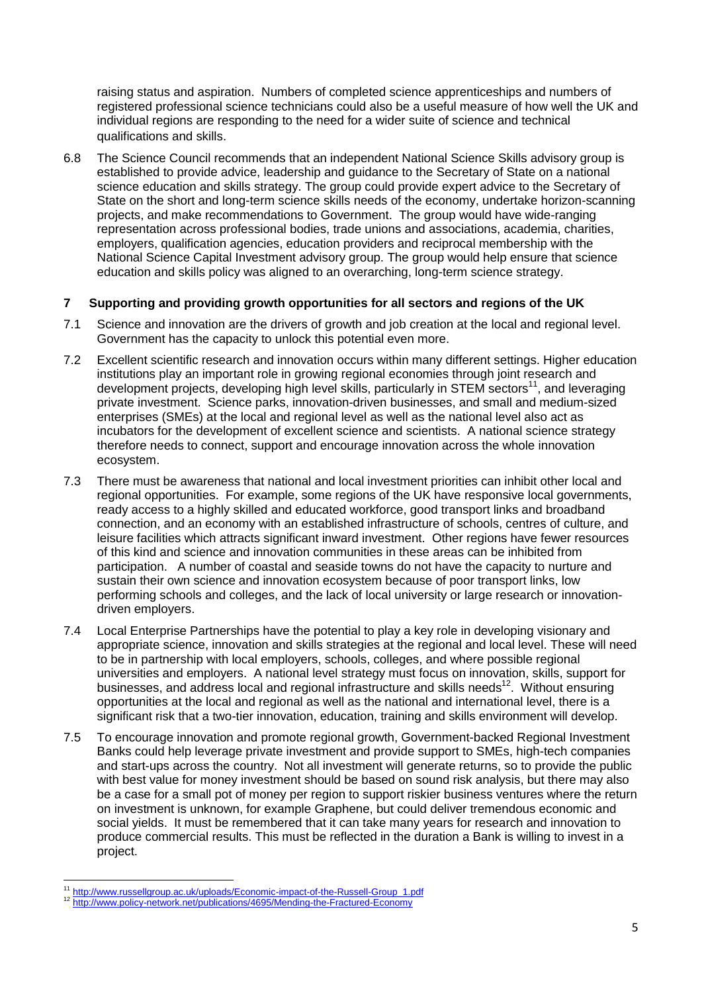raising status and aspiration. Numbers of completed science apprenticeships and numbers of registered professional science technicians could also be a useful measure of how well the UK and individual regions are responding to the need for a wider suite of science and technical qualifications and skills.

6.8 The Science Council recommends that an independent National Science Skills advisory group is established to provide advice, leadership and guidance to the Secretary of State on a national science education and skills strategy. The group could provide expert advice to the Secretary of State on the short and long-term science skills needs of the economy, undertake horizon-scanning projects, and make recommendations to Government. The group would have wide-ranging representation across professional bodies, trade unions and associations, academia, charities, employers, qualification agencies, education providers and reciprocal membership with the National Science Capital Investment advisory group. The group would help ensure that science education and skills policy was aligned to an overarching, long-term science strategy.

# **7 Supporting and providing growth opportunities for all sectors and regions of the UK**

- 7.1 Science and innovation are the drivers of growth and job creation at the local and regional level. Government has the capacity to unlock this potential even more.
- 7.2 Excellent scientific research and innovation occurs within many different settings. Higher education institutions play an important role in growing regional economies through joint research and development projects, developing high level skills, particularly in STEM sectors<sup>11</sup>, and leveraging private investment. Science parks, innovation-driven businesses, and small and medium-sized enterprises (SMEs) at the local and regional level as well as the national level also act as incubators for the development of excellent science and scientists. A national science strategy therefore needs to connect, support and encourage innovation across the whole innovation ecosystem.
- 7.3 There must be awareness that national and local investment priorities can inhibit other local and regional opportunities. For example, some regions of the UK have responsive local governments, ready access to a highly skilled and educated workforce, good transport links and broadband connection, and an economy with an established infrastructure of schools, centres of culture, and leisure facilities which attracts significant inward investment. Other regions have fewer resources of this kind and science and innovation communities in these areas can be inhibited from participation. A number of coastal and seaside towns do not have the capacity to nurture and sustain their own science and innovation ecosystem because of poor transport links, low performing schools and colleges, and the lack of local university or large research or innovationdriven employers.
- 7.4 Local Enterprise Partnerships have the potential to play a key role in developing visionary and appropriate science, innovation and skills strategies at the regional and local level. These will need to be in partnership with local employers, schools, colleges, and where possible regional universities and employers. A national level strategy must focus on innovation, skills, support for businesses, and address local and regional infrastructure and skills needs<sup>12</sup>. Without ensuring opportunities at the local and regional as well as the national and international level, there is a significant risk that a two-tier innovation, education, training and skills environment will develop.
- 7.5 To encourage innovation and promote regional growth, Government-backed Regional Investment Banks could help leverage private investment and provide support to SMEs, high-tech companies and start-ups across the country. Not all investment will generate returns, so to provide the public with best value for money investment should be based on sound risk analysis, but there may also be a case for a small pot of money per region to support riskier business ventures where the return on investment is unknown, for example Graphene, but could deliver tremendous economic and social yields. It must be remembered that it can take many years for research and innovation to produce commercial results. This must be reflected in the duration a Bank is willing to invest in a project.

<sup>1</sup> <sup>11</sup> [http://www.russellgroup.ac.uk/uploads/Economic-impact-of-the-Russell-Group\\_1.pdf](http://www.russellgroup.ac.uk/uploads/Economic-impact-of-the-Russell-Group_1.pdf)

<http://www.policy-network.net/publications/4695/Mending-the-Fractured-Economy>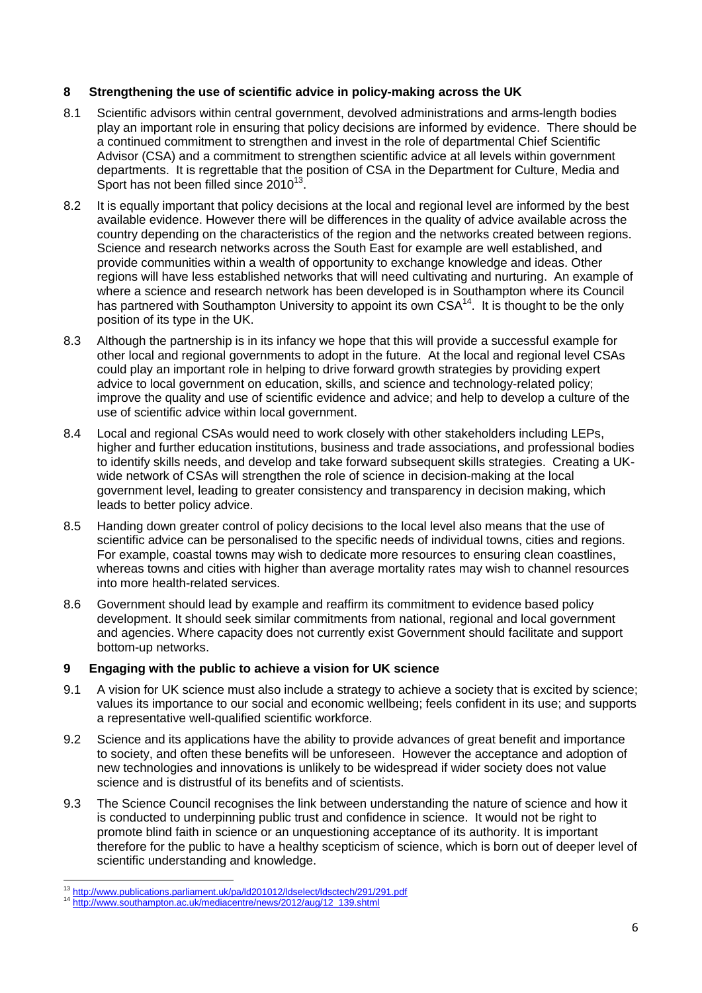### **8 Strengthening the use of scientific advice in policy-making across the UK**

- 8.1 Scientific advisors within central government, devolved administrations and arms-length bodies play an important role in ensuring that policy decisions are informed by evidence. There should be a continued commitment to strengthen and invest in the role of departmental Chief Scientific Advisor (CSA) and a commitment to strengthen scientific advice at all levels within government departments. It is regrettable that the position of CSA in the Department for Culture, Media and Sport has not been filled since 2010<sup>13</sup>.
- 8.2 It is equally important that policy decisions at the local and regional level are informed by the best available evidence. However there will be differences in the quality of advice available across the country depending on the characteristics of the region and the networks created between regions. Science and research networks across the South East for example are well established, and provide communities within a wealth of opportunity to exchange knowledge and ideas. Other regions will have less established networks that will need cultivating and nurturing. An example of where a science and research network has been developed is in Southampton where its Council has partnered with Southampton University to appoint its own CSA<sup>14</sup>. It is thought to be the only position of its type in the UK.
- 8.3 Although the partnership is in its infancy we hope that this will provide a successful example for other local and regional governments to adopt in the future. At the local and regional level CSAs could play an important role in helping to drive forward growth strategies by providing expert advice to local government on education, skills, and science and technology-related policy; improve the quality and use of scientific evidence and advice; and help to develop a culture of the use of scientific advice within local government.
- 8.4 Local and regional CSAs would need to work closely with other stakeholders including LEPs, higher and further education institutions, business and trade associations, and professional bodies to identify skills needs, and develop and take forward subsequent skills strategies. Creating a UKwide network of CSAs will strengthen the role of science in decision-making at the local government level, leading to greater consistency and transparency in decision making, which leads to better policy advice.
- 8.5 Handing down greater control of policy decisions to the local level also means that the use of scientific advice can be personalised to the specific needs of individual towns, cities and regions. For example, coastal towns may wish to dedicate more resources to ensuring clean coastlines, whereas towns and cities with higher than average mortality rates may wish to channel resources into more health-related services.
- 8.6 Government should lead by example and reaffirm its commitment to evidence based policy development. It should seek similar commitments from national, regional and local government and agencies. Where capacity does not currently exist Government should facilitate and support bottom-up networks.

# **9 Engaging with the public to achieve a vision for UK science**

- 9.1 A vision for UK science must also include a strategy to achieve a society that is excited by science; values its importance to our social and economic wellbeing; feels confident in its use; and supports a representative well-qualified scientific workforce.
- 9.2 Science and its applications have the ability to provide advances of great benefit and importance to society, and often these benefits will be unforeseen. However the acceptance and adoption of new technologies and innovations is unlikely to be widespread if wider society does not value science and is distrustful of its benefits and of scientists.
- 9.3 The Science Council recognises the link between understanding the nature of science and how it is conducted to underpinning public trust and confidence in science. It would not be right to promote blind faith in science or an unquestioning acceptance of its authority. It is important therefore for the public to have a healthy scepticism of science, which is born out of deeper level of scientific understanding and knowledge.

<sup>1</sup> <sup>13</sup> <http://www.publications.parliament.uk/pa/ld201012/ldselect/ldsctech/291/291.pdf>

<sup>14</sup> [http://www.southampton.ac.uk/mediacentre/news/2012/aug/12\\_139.shtml](http://www.southampton.ac.uk/mediacentre/news/2012/aug/12_139.shtml)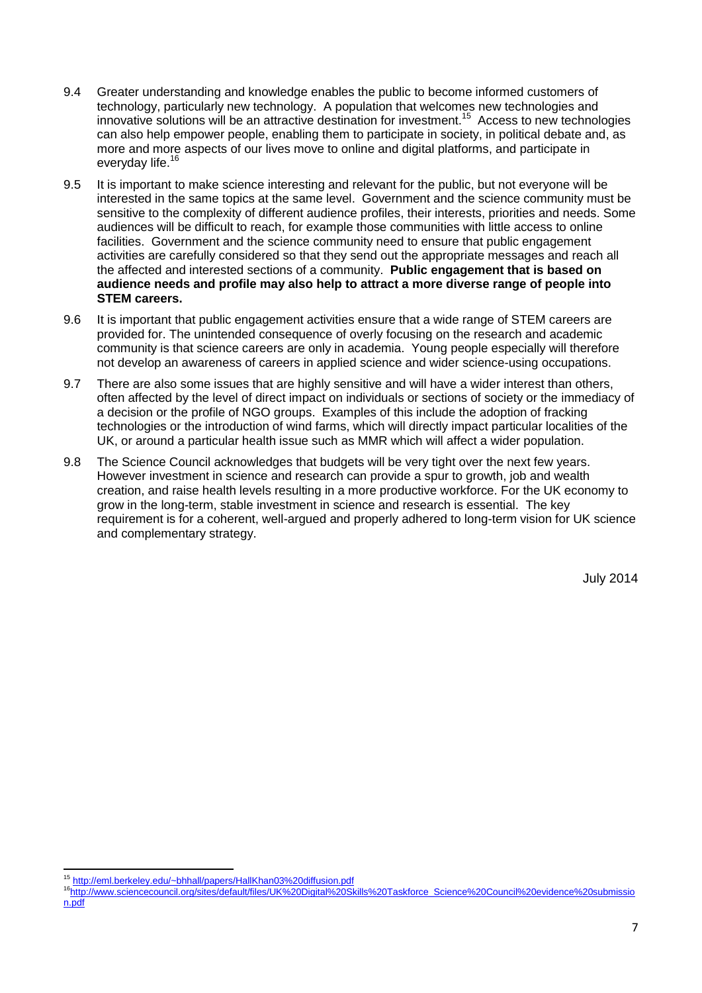- 9.4 Greater understanding and knowledge enables the public to become informed customers of technology, particularly new technology. A population that welcomes new technologies and innovative solutions will be an attractive destination for investment.<sup>15</sup> Access to new technologies can also help empower people, enabling them to participate in society, in political debate and, as more and more aspects of our lives move to online and digital platforms, and participate in everyday life.<sup>16</sup>
- 9.5 It is important to make science interesting and relevant for the public, but not everyone will be interested in the same topics at the same level. Government and the science community must be sensitive to the complexity of different audience profiles, their interests, priorities and needs. Some audiences will be difficult to reach, for example those communities with little access to online facilities. Government and the science community need to ensure that public engagement activities are carefully considered so that they send out the appropriate messages and reach all the affected and interested sections of a community. **Public engagement that is based on audience needs and profile may also help to attract a more diverse range of people into STEM careers.**
- 9.6 It is important that public engagement activities ensure that a wide range of STEM careers are provided for. The unintended consequence of overly focusing on the research and academic community is that science careers are only in academia. Young people especially will therefore not develop an awareness of careers in applied science and wider science-using occupations.
- 9.7 There are also some issues that are highly sensitive and will have a wider interest than others, often affected by the level of direct impact on individuals or sections of society or the immediacy of a decision or the profile of NGO groups. Examples of this include the adoption of fracking technologies or the introduction of wind farms, which will directly impact particular localities of the UK, or around a particular health issue such as MMR which will affect a wider population.
- 9.8 The Science Council acknowledges that budgets will be very tight over the next few years. However investment in science and research can provide a spur to growth, job and wealth creation, and raise health levels resulting in a more productive workforce. For the UK economy to grow in the long-term, stable investment in science and research is essential. The key requirement is for a coherent, well-argued and properly adhered to long-term vision for UK science and complementary strategy.

July 2014

**<sup>.</sup>** <sup>15</sup> <http://eml.berkeley.edu/~bhhall/papers/HallKhan03%20diffusion.pdf>

<sup>16</sup>[http://www.sciencecouncil.org/sites/default/files/UK%20Digital%20Skills%20Taskforce\\_Science%20Council%20evidence%20submissio](http://www.sciencecouncil.org/sites/default/files/UK%20Digital%20Skills%20Taskforce_Science%20Council%20evidence%20submission.pdf) [n.pdf](http://www.sciencecouncil.org/sites/default/files/UK%20Digital%20Skills%20Taskforce_Science%20Council%20evidence%20submission.pdf)